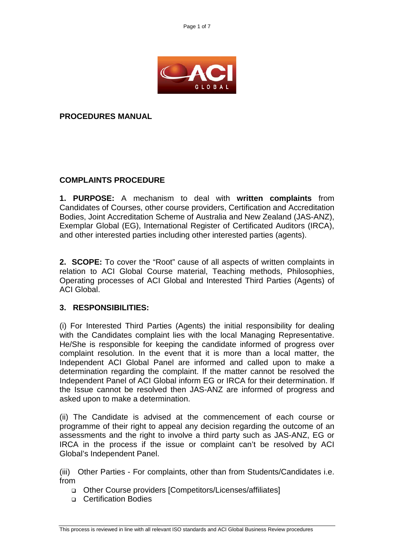

**PROCEDURES MANUAL**

# **COMPLAINTS PROCEDURE**

**1. PURPOSE:** A mechanism to deal with **written complaints** from Candidates of Courses, other course providers, Certification and Accreditation Bodies, Joint Accreditation Scheme of Australia and New Zealand (JAS-ANZ), Exemplar Global (EG), International Register of Certificated Auditors (IRCA), and other interested parties including other interested parties (agents).

**2. SCOPE:** To cover the "Root" cause of all aspects of written complaints in relation to ACI Global Course material, Teaching methods, Philosophies, Operating processes of ACI Global and Interested Third Parties (Agents) of ACI Global.

## **3. RESPONSIBILITIES:**

(i) For Interested Third Parties (Agents) the initial responsibility for dealing with the Candidates complaint lies with the local Managing Representative. He/She is responsible for keeping the candidate informed of progress over complaint resolution. In the event that it is more than a local matter, the Independent ACI Global Panel are informed and called upon to make a determination regarding the complaint. If the matter cannot be resolved the Independent Panel of ACI Global inform EG or IRCA for their determination. If the Issue cannot be resolved then JAS-ANZ are informed of progress and asked upon to make a determination.

(ii) The Candidate is advised at the commencement of each course or programme of their right to appeal any decision regarding the outcome of an assessments and the right to involve a third party such as JAS-ANZ, EG or IRCA in the process if the issue or complaint can't be resolved by ACI Global's Independent Panel.

(iii) Other Parties - For complaints, other than from Students/Candidates i.e. from

- Other Course providers [Competitors/Licenses/affiliates]
- **D** Certification Bodies

This process is reviewed in line with all relevant ISO standards and ACI Global Business Review procedures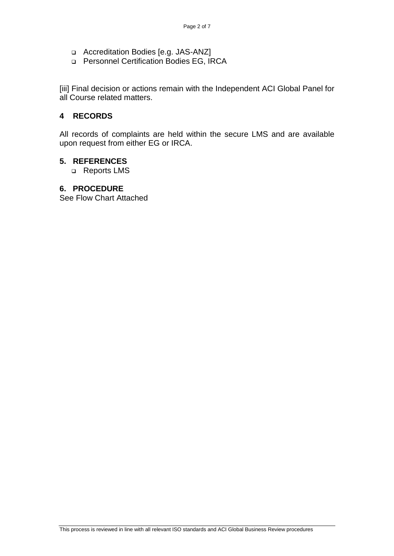- Accreditation Bodies [e.g. JAS-ANZ]
- Personnel Certification Bodies EG, IRCA

[iii] Final decision or actions remain with the Independent ACI Global Panel for all Course related matters.

## **4 RECORDS**

All records of complaints are held within the secure LMS and are available upon request from either EG or IRCA.

#### **5. REFERENCES**

□ Reports LMS

#### **6. PROCEDURE**

See Flow Chart Attached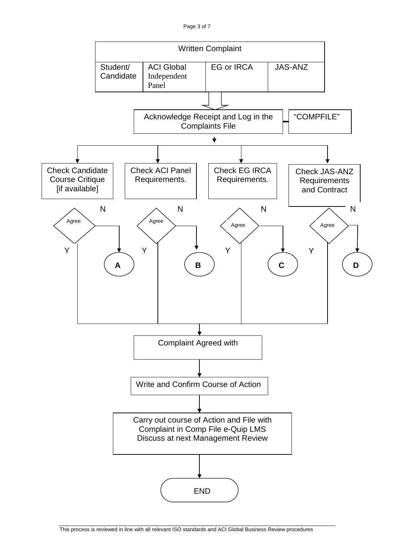

This process is reviewed in line with all relevant ISO standards and ACI Global Business Review procedures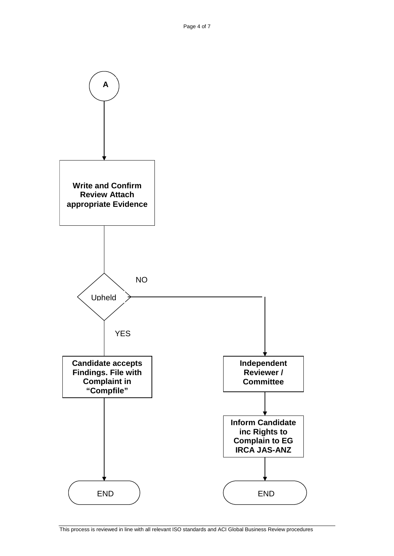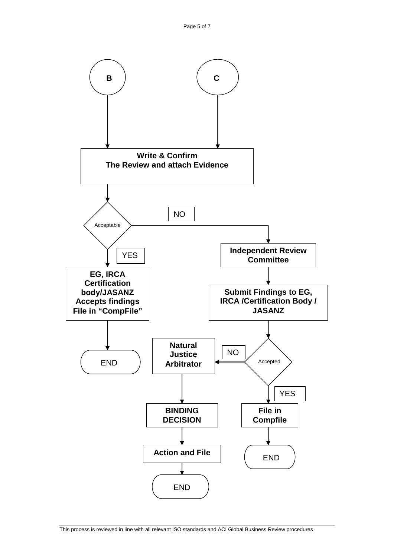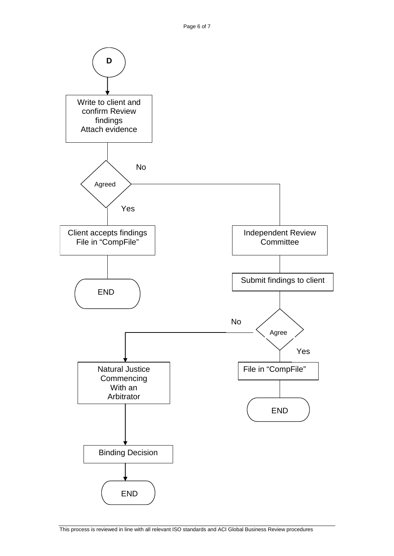